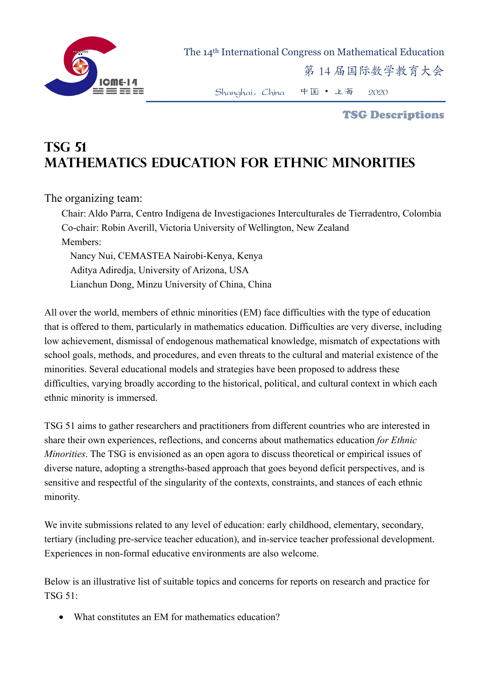

 The 14th International Congress on Mathematical Education 第 14 届国际数学教育大会

Shanghai,China 中国 • 上海 2020

TSG Descriptions

## **TSG 51 Mathematics Education for Ethnic Minorities**

The organizing team:

Chair: Aldo Parra, Centro Indígena de Investigaciones Interculturales de Tierradentro, Colombia Co-chair: Robin Averill, Victoria University of Wellington, New Zealand Members:

Nancy Nui, CEMASTEA Nairobi-Kenya, Kenya Aditya Adiredja, University of Arizona, USA Lianchun Dong, Minzu University of China, China

All over the world, members of ethnic minorities (EM) face difficulties with the type of education that is offered to them, particularly in mathematics education. Difficulties are very diverse, including low achievement, dismissal of endogenous mathematical knowledge, mismatch of expectations with school goals, methods, and procedures, and even threats to the cultural and material existence of the minorities. Several educational models and strategies have been proposed to address these difficulties, varying broadly according to the historical, political, and cultural context in which each ethnic minority is immersed.

TSG 51 aims to gather researchers and practitioners from different countries who are interested in share their own experiences, reflections, and concerns about mathematics education *for Ethnic Minorities*. The TSG is envisioned as an open agora to discuss theoretical or empirical issues of diverse nature, adopting a strengths-based approach that goes beyond deficit perspectives, and is sensitive and respectful of the singularity of the contexts, constraints, and stances of each ethnic minority.

We invite submissions related to any level of education: early childhood, elementary, secondary, tertiary (including pre-service teacher education), and in-service teacher professional development. Experiences in non-formal educative environments are also welcome.

Below is an illustrative list of suitable topics and concerns for reports on research and practice for TSG 51:

• What constitutes an EM for mathematics education?